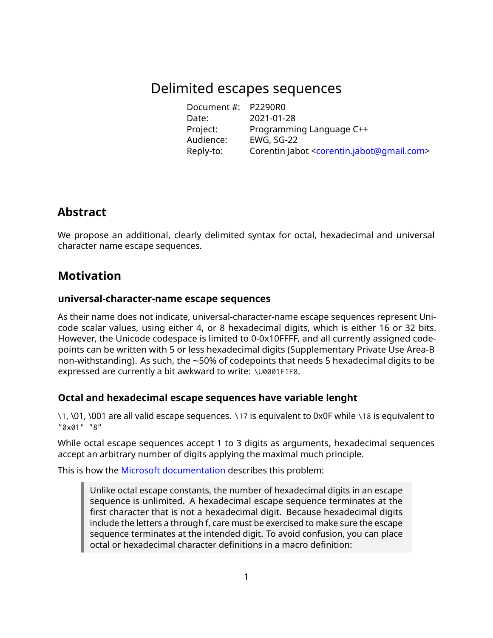# Delimited escapes sequences

Document #: P2290R0 Date: 2021-01-28 Project: Programming Language C++ Such Programmin<br>Audience: EWG, SG-22<br>Reply to: Reply-to: Corentin Jabot [<corentin.jabot@gmail.com>](mailto:corentin.jabot@gmail.com)

## **Abstract**

We propose an additional, clearly delimited syntax for octal, hexadecimal and universal character name escape sequences.

# **Motivation**

#### **universal-character-name escape sequences**

As their name does not indicate, universal-character-name escape sequences represent Unicode scalar values, using either 4, or 8 hexadecimal digits, which is either 16 or 32 bits. However, the Unicode codespace is limited to 0-0x10FFFF, and all currently assigned codepoints can be written with 5 or less hexadecimal digits (Supplementary Private Use Area-B non-withstanding). As such, the ~50% of codepoints that needs 5 hexadecimal digits to be expressed are currently a bit awkward to write: \U0001F1F8.

### **Octal and hexadecimal escape sequences have variable lenght**

\1, \01, \001 are all valid escape sequences. \17 is equivalent to 0x0F while \18 is equivalent to "0x01" "8"

While octal escape sequences accept 1 to 3 digits as arguments, hexadecimal sequences accept an arbitrary number of digits applying the maximal much principle.

This is how the [Microsoft documentation](https://docs.microsoft.com/en-us/cpp/c-language/octal-and-hexadecimal-character-specifications?view=msvc-160) describes this problem:

Unlike octal escape constants, the number of hexadecimal digits in an escape sequence is unlimited. A hexadecimal escape sequence terminates at the first character that is not a hexadecimal digit. Because hexadecimal digits include the letters a through f, care must be exercised to make sure the escape sequence terminates at the intended digit. To avoid confusion, you can place octal or hexadecimal character definitions in a macro definition: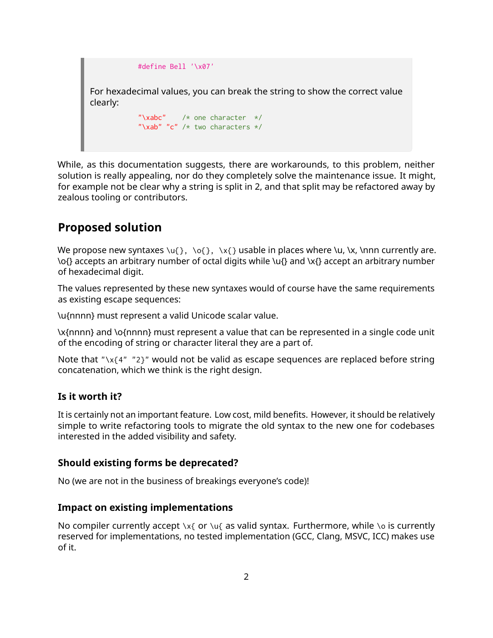

While, as this documentation suggests, there are workarounds, to this problem, neither solution is really appealing, nor do they completely solve the maintenance issue. It might, for example not be clear why a string is split in 2, and that split may be refactored away by zealous tooling or contributors.

## **Proposed solution**

We propose new syntaxes  $\{u\}$ ,  $\{o\}$ ,  $\{x\}$  usable in places where  $\{u\}$ ,  $\{x\}$ ,  $\{x\}$  are. \o{} accepts an arbitrary number of octal digits while \u{} and \x{} accept an arbitrary number of hexadecimal digit.

The values represented by these new syntaxes would of course have the same requirements as existing escape sequences:

\u{nnnn} must represent a valid Unicode scalar value.

\x{nnnn} and \o{nnnn} must represent a value that can be represented in a single code unit of the encoding of string or character literal they are a part of.

Note that "\x{4" "2}" would not be valid as escape sequences are replaced before string concatenation, which we think is the right design.

#### **Is it worth it?**

It is certainly not an important feature. Low cost, mild benefits. However, it should be relatively simple to write refactoring tools to migrate the old syntax to the new one for codebases interested in the added visibility and safety.

#### **Should existing forms be deprecated?**

No (we are not in the business of breakings everyone's code)!

#### **Impact on existing implementations**

No compiler currently accept  $x_{\{or\}u_{\{as\}v}$  as valid syntax. Furthermore, while  $\infty$  is currently reserved for implementations, no tested implementation (GCC, Clang, MSVC, ICC) makes use of it.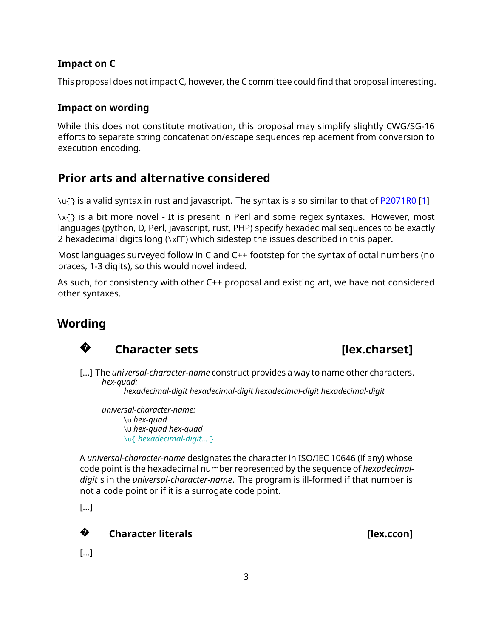### **Impact on C**

This proposal does not impact C, however, the C committee could find that proposal interesting.

#### **Impact on wording**

While this does not constitute motivation, this proposal may simplify slightly CWG/SG-16 efforts to separate string concatenation/escape sequences replacement from conversion to execution encoding.

# **Prior arts and alternative considered**

\u{} is a valid syntax in rust and javascript. The syntax is also similar to that of [P2071R0](https://wg21.link/P2071R0) [\[1\]](#page-3-0)

 $\{x\}$  is a bit more novel - It is present in Perl and some regex syntaxes. However, most languages (python, D, Perl, javascript, rust, PHP) specify hexadecimal sequences to be exactly 2 hexadecimal digits long (\xFF) which sidestep the issues described in this paper.

Most languages surveyed follow in C and C++ footstep for the syntax of octal numbers (no braces, 1-3 digits), so this would novel indeed.

As such, for consistency with other C++ proposal and existing art, we have not considered other syntaxes.

# **Wording**



# **Character sets [lex.charset]**

[...] The *universal-character-name* construct provides a way to name other characters. *hex-quad:*

*hexadecimal-digit hexadecimal-digit hexadecimal-digit hexadecimal-digit*

*universal-character-name:* \u *hex-quad* \U *hex-quad hex-quad* \u{ *hexadecimal-digit...* }

A *universal-character-name* designates the character in ISO/IEC 10646 (if any) whose code point is the hexadecimal number represented by the sequence of *hexadecimaldigit* s in the *universal-character-name*. The program is ill-formed if that number is not a code point or if it is a surrogate code point.

[...]

#### **?Character literals Character literals Character literals**

[...]